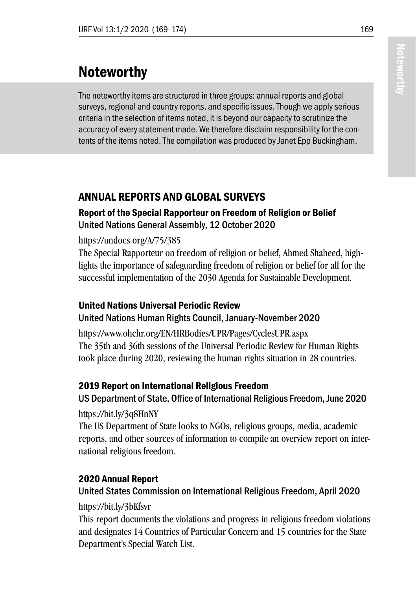# Noteworthy

The noteworthy items are structured in three groups: annual reports and global surveys, regional and country reports, and specific issues. Though we apply serious criteria in the selection of items noted, it is beyond our capacity to scrutinize the accuracy of every statement made. We therefore disclaim responsibility for the contents of the items noted. The compilation was produced by Janet Epp Buckingham.

# ANNUAL REPORTS AND GLOBAL SURVEYS

#### Report of the Special Rapporteur on Freedom of Religion or Belief United Nations General Assembly, 12 October 2020

#### https://undocs.org/A/75/385

The Special Rapporteur on freedom of religion or belief, Ahmed Shaheed, highlights the importance of safeguarding freedom of religion or belief for all for the successful implementation of the 2030 Agenda for Sustainable Development.

# United Nations Universal Periodic Review

#### United Nations Human Rights Council, January-November 2020

https://www.ohchr.org/EN/HRBodies/UPR/Pages/CyclesUPR.aspx The 35th and 36th sessions of the Universal Periodic Review for Human Rights took place during 2020, reviewing the human rights situation in 28 countries.

#### 2019 Report on International Religious Freedom

# US Department of State, Office of International Religious Freedom, June 2020

https://bit.ly/3q8HnNY

The US Department of State looks to NGOs, religious groups, media, academic reports, and other sources of information to compile an overview report on international religious freedom.

#### 2020 Annual Report

#### United States Commission on International Religious Freedom, April 2020

#### https://bit.ly/3bKfsvr

This report documents the violations and progress in religious freedom violations and designates 14 Countries of Particular Concern and 15 countries for the State Department's Special Watch List.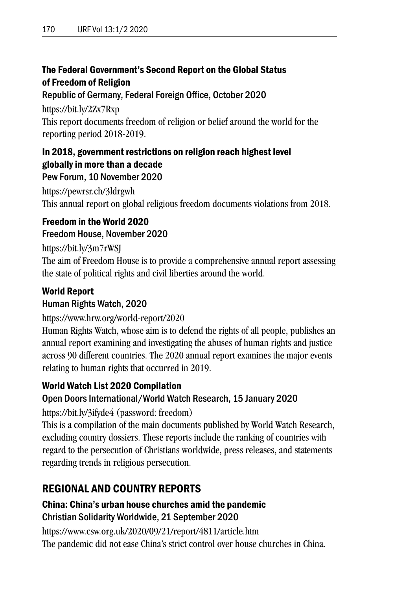#### The Federal Government's Second Report on the Global Status of Freedom of Religion

Republic of Germany, Federal Foreign Office, October 2020

https://bit.ly/2Zx7Rxp This report documents freedom of religion or belief around the world for the reporting period 2018-2019.

#### In 2018, government restrictions on religion reach highest level globally in more than a decade

Pew Forum, 10 November 2020 https://pewrsr.ch/3ldrgwh This annual report on global religious freedom documents violations from 2018.

# Freedom in the World 2020

#### Freedom House, November 2020

https://bit.ly/3m7rWSJ

The aim of Freedom House is to provide a comprehensive annual report assessing the state of political rights and civil liberties around the world.

#### World Report

#### Human Rights Watch, 2020

https://www.hrw.org/world-report/2020

Human Rights Watch, whose aim is to defend the rights of all people, publishes an annual report examining and investigating the abuses of human rights and justice across 90 different countries. The 2020 annual report examines the major events relating to human rights that occurred in 2019.

#### World Watch List 2020 Compilation

#### Open Doors International/World Watch Research, 15 January 2020

https://bit.ly/3ifyde4 (password: freedom)

This is a compilation of the main documents published by World Watch Research, excluding country dossiers. These reports include the ranking of countries with regard to the persecution of Christians worldwide, press releases, and statements regarding trends in religious persecution.

# REGIONAL AND COUNTRY REPORTS

#### China: China's urban house churches amid the pandemic Christian Solidarity Worldwide, 21 September 2020

https://www.csw.org.uk/2020/09/21/report/4811/article.htm The pandemic did not ease China's strict control over house churches in China.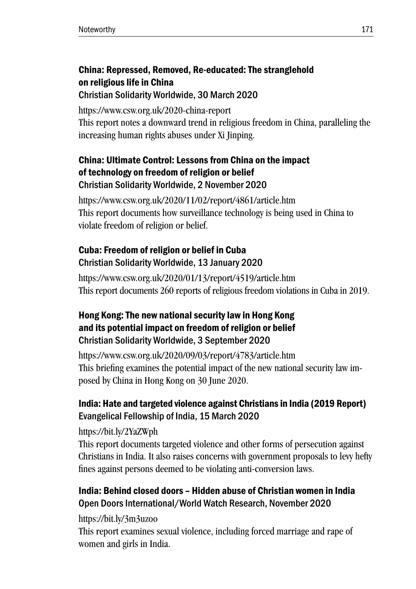#### China: Repressed, Removed, Re-educated: The stranglehold on religious life in China Christian Solidarity Worldwide, 30 March 2020

https://www.csw.org.uk/2020-china-report This report notes a downward trend in religious freedom in China, paralleling the increasing human rights abuses under Xi Jinping.

#### China: Ultimate Control: Lessons from China on the impact of technology on freedom of religion or belief Christian Solidarity Worldwide, 2 November 2020

https://www.csw.org.uk/2020/11/02/report/4861/article.htm This report documents how surveillance technology is being used in China to violate freedom of religion or belief.

# Cuba: Freedom of religion or belief in Cuba Christian Solidarity Worldwide, 13 January 2020

https://www.csw.org.uk/2020/01/13/report/4519/article.htm This report documents 260 reports of religious freedom violations in Cuba in 2019.

#### Hong Kong: The new national security law in Hong Kong and its potential impact on freedom of religion or belief Christian Solidarity Worldwide, 3 September 2020

https://www.csw.org.uk/2020/09/03/report/4783/article.htm This briefing examines the potential impact of the new national security law imposed by China in Hong Kong on 30 June 2020.

#### India: Hate and targeted violence against Christians in India (2019 Report) Evangelical Fellowship of India, 15 March 2020

https://bit.ly/2YaZWph

This report documents targeted violence and other forms of persecution against Christians in India. It also raises concerns with government proposals to levy hefty fines against persons deemed to be violating anti-conversion laws.

#### India: Behind closed doors – Hidden abuse of Christian women in India Open Doors International/World Watch Research, November 2020

https://bit.ly/3m3uzoo

This report examines sexual violence, including forced marriage and rape of women and girls in India.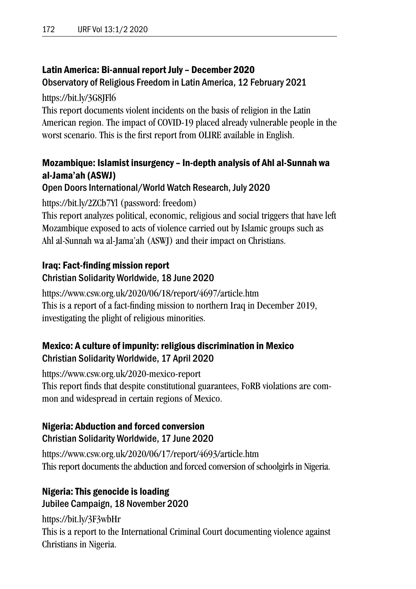#### Latin America: Bi-annual report July – December 2020

#### Observatory of Religious Freedom in Latin America, 12 February 2021

https://bit.ly/3G8JFl6

This report documents violent incidents on the basis of religion in the Latin American region. The impact of COVID-19 placed already vulnerable people in the worst scenario. This is the first report from OLIRE available in English.

#### Mozambique: Islamist insurgency – In-depth analysis of Ahl al-Sunnah wa al-Jama'ah (ASWJ)

#### Open Doors International/World Watch Research, July 2020

https://bit.ly/2ZCb7Yl (password: freedom)

This report analyzes political, economic, religious and social triggers that have left Mozambique exposed to acts of violence carried out by Islamic groups such as Ahl al-Sunnah wa al-Jama'ah (ASWJ) and their impact on Christians.

#### Iraq: Fact-finding mission report Christian Solidarity Worldwide, 18 June 2020

https://www.csw.org.uk/2020/06/18/report/4697/article.htm This is a report of a fact-finding mission to northern Iraq in December 2019, investigating the plight of religious minorities.

#### Mexico: A culture of impunity: religious discrimination in Mexico Christian Solidarity Worldwide, 17 April 2020

https://www.csw.org.uk/2020-mexico-report This report finds that despite constitutional guarantees, FoRB violations are common and widespread in certain regions of Mexico.

# Nigeria: Abduction and forced conversion

#### Christian Solidarity Worldwide, 17 June 2020

https://www.csw.org.uk/2020/06/17/report/4693/article.htm This report documents the abduction and forced conversion of schoolgirls in Nigeria.

#### Nigeria: This genocide is loading Jubilee Campaign, 18 November 2020

https://bit.ly/3F3wbHr This is a report to the International Criminal Court documenting violence against Christians in Nigeria.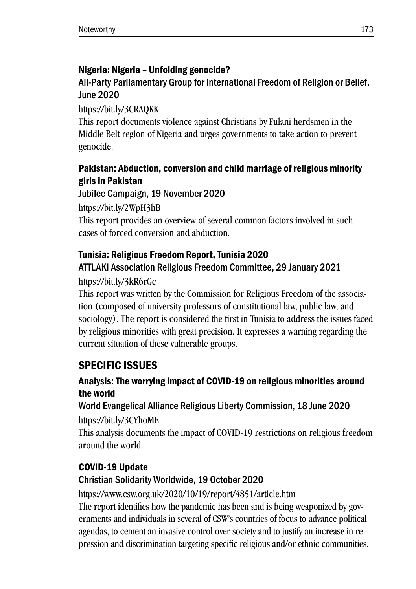# Nigeria: Nigeria – Unfolding genocide?

# All-Party Parliamentary Group for International Freedom of Religion or Belief, June 2020

https://bit.ly/3CRAQKK

This report documents violence against Christians by Fulani herdsmen in the Middle Belt region of Nigeria and urges governments to take action to prevent genocide.

# Pakistan: Abduction, conversion and child marriage of religious minority girls in Pakistan

Jubilee Campaign, 19 November 2020

https://bit.ly/2WpH3hB This report provides an overview of several common factors involved in such cases of forced conversion and abduction.

#### Tunisia: Religious Freedom Report, Tunisia 2020 ATTLAKI Association Religious Freedom Committee, 29 January 2021

# https://bit.ly/3kR6rGc

This report was written by the Commission for Religious Freedom of the association (composed of university professors of constitutional law, public law, and sociology). The report is considered the first in Tunisia to address the issues faced by religious minorities with great precision. It expresses a warning regarding the current situation of these vulnerable groups.

# SPECIFIC ISSUES

# Analysis: The worrying impact of COVID-19 on religious minorities around the world

# World Evangelical Alliance Religious Liberty Commission, 18 June 2020 https://bit.ly/3CYhoME

This analysis documents the impact of COVID-19 restrictions on religious freedom around the world.

# COVID-19 Update

# Christian Solidarity Worldwide, 19 October 2020

https://www.csw.org.uk/2020/10/19/report/4851/article.htm

The report identifies how the pandemic has been and is being weaponized by governments and individuals in several of CSW's countries of focus to advance political agendas, to cement an invasive control over society and to justify an increase in repression and discrimination targeting specific religious and/or ethnic communities.